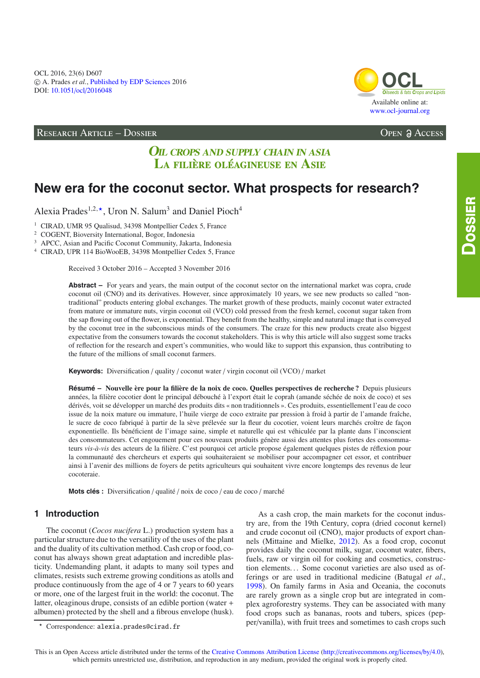## **RESEARCH ARTICLE - DOSSIER**



**OPEN ACCESS** 

# **OIL CROPS AND SUPPLY CHAIN IN ASIA** LA FILIÈRE OLÉAGINEUSE EN ASIE

# New era for the coconut sector. What prospects for research?

Alexia Prades<sup>1,2,\*</sup>, Uron N. Salum<sup>3</sup> and Daniel Pioch<sup>4</sup>

<sup>1</sup> CIRAD, UMR 95 Qualisud, 34398 Montpellier Cedex 5, France

<sup>2</sup> COGENT, Bioversity International, Bogor, Indonesia

<sup>3</sup> APCC, Asian and Pacific Coconut Community, Jakarta, Indonesia

<sup>4</sup> CIRAD, UPR 114 BioWooEB, 34398 Montpellier Cedex 5, France

Received 3 October 2016 - Accepted 3 November 2016

Abstract – For years and years, the main output of the coconut sector on the international market was copra, crude coconut oil (CNO) and its derivatives. However, since approximately 10 years, we see new products so called "nontraditional" products entering global exchanges. The market growth of these products, mainly coconut water extracted from mature or immature nuts, virgin coconut oil (VCO) cold pressed from the fresh kernel, coconut sugar taken from the sap flowing out of the flower, is exponential. They benefit from the healthy, simple and natural image that is conveyed by the coconut tree in the subconscious minds of the consumers. The craze for this new products create also biggest expectative from the consumers towards the coconut stakeholders. This is why this article will also suggest some tracks of reflection for the research and expert's communities, who would like to support this expansion, thus contributing to the future of the millions of small coconut farmers.

Keywords: Diversification / quality / coconut water / virgin coconut oil (VCO) / market

Résumé - Nouvelle ère pour la filière de la noix de coco. Quelles perspectives de recherche? Depuis plusieurs années, la filière cocotier dont le principal débouché à l'export était le coprah (amande séchée de noix de coco) et ses dérivés, voit se développer un marché des produits dits « non traditionnels ». Ces produits, essentiellement l'eau de coco issue de la noix mature ou immature, l'huile vierge de coco extraite par pression à froid à partir de l'amande fraîche, le sucre de coco fabriqué à partir de la sève prélevée sur la fleur du cocotier, voient leurs marchés croître de façon exponentielle. Ils bénéficient de l'image saine, simple et naturelle qui est véhiculée par la plante dans l'inconscient des consommateurs. Cet engouement pour ces nouveaux produits génère aussi des attentes plus fortes des consommateurs vis-à-vis des acteurs de la filière. C'est pourquoi cet article propose également quelques pistes de réflexion pour la communauté des chercheurs et experts qui souhaiteraient se mobiliser pour accompagner cet essor, et contribuer ainsi à l'avenir des millions de foyers de petits agriculteurs qui souhaitent vivre encore longtemps des revenus de leur cocoteraie.

Mots clés : Diversification / qualité / noix de coco / eau de coco / marché

# 1 Introduction

The coconut (Cocos nucifera L.) production system has a particular structure due to the versatility of the uses of the plant and the duality of its cultivation method. Cash crop or food, coconut has always shown great adaptation and incredible plasticity. Undemanding plant, it adapts to many soil types and climates, resists such extreme growing conditions as atolls and produce continuously from the age of 4 or 7 years to 60 years or more, one of the largest fruit in the world: the coconut. The latter, oleaginous drupe, consists of an edible portion (water + albumen) protected by the shell and a fibrous envelope (husk).

As a cash crop, the main markets for the coconut industry are, from the 19th Century, copra (dried coconut kernel) and crude coconut oil (CNO), major products of export channels (Mittaine and Mielke, 2012). As a food crop, coconut provides daily the coconut milk, sugar, coconut water, fibers, fuels, raw or virgin oil for cooking and cosmetics, construction elements... Some coconut varieties are also used as offerings or are used in traditional medicine (Batugal et al., 1998). On family farms in Asia and Oceania, the coconuts are rarely grown as a single crop but are integrated in complex agroforestry systems. They can be associated with many food crops such as bananas, roots and tubers, spices (pepper/vanilla), with fruit trees and sometimes to cash crops such

<sup>\*</sup> Correspondence: alexia.prades@cirad.fr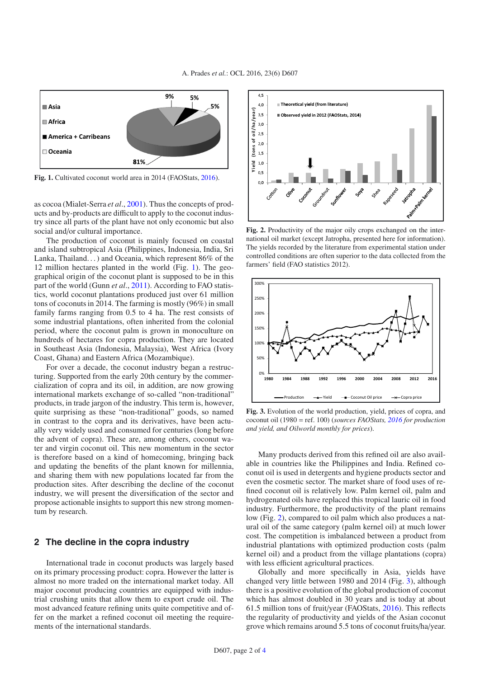<span id="page-1-0"></span>

**Fig. 1.** Cultivated coconut world area in 2014 (FAOStats, [2016](#page-3-2)).

as cocoa (Mialet-Serra *et al*., [2001\)](#page-3-3). Thus the concepts of products and by-products are difficult to apply to the coconut industry since all parts of the plant have not only economic but also social and/or cultural importance.

The production of coconut is mainly focused on coastal and island subtropical Asia (Philippines, Indonesia, India, Sri Lanka, Thailand. . . ) and Oceania, which represent 86% of the 12 million hectares planted in the world (Fig. [1\)](#page-1-0). The geographical origin of the coconut plant is supposed to be in this part of the world (Gunn *et al*., [2011\)](#page-3-4). According to FAO statistics, world coconut plantations produced just over 61 million tons of coconuts in 2014. The farming is mostly (96%) in small family farms ranging from 0.5 to 4 ha. The rest consists of some industrial plantations, often inherited from the colonial period, where the coconut palm is grown in monoculture on hundreds of hectares for copra production. They are located in Southeast Asia (Indonesia, Malaysia), West Africa (Ivory Coast, Ghana) and Eastern Africa (Mozambique).

For over a decade, the coconut industry began a restructuring. Supported from the early 20th century by the commercialization of copra and its oil, in addition, are now growing international markets exchange of so-called "non-traditional" products, in trade jargon of the industry. This term is, however, quite surprising as these "non-traditional" goods, so named in contrast to the copra and its derivatives, have been actually very widely used and consumed for centuries (long before the advent of copra). These are, among others, coconut water and virgin coconut oil. This new momentum in the sector is therefore based on a kind of homecoming, bringing back and updating the benefits of the plant known for millennia, and sharing them with new populations located far from the production sites. After describing the decline of the coconut industry, we will present the diversification of the sector and propose actionable insights to support this new strong momentum by research.

### **2 The decline in the copra industry**

International trade in coconut products was largely based on its primary processing product: copra. However the latter is almost no more traded on the international market today. All major coconut producing countries are equipped with industrial crushing units that allow them to export crude oil. The most advanced feature refining units quite competitive and offer on the market a refined coconut oil meeting the requirements of the international standards.

<span id="page-1-1"></span>

**Fig. 2.** Productivity of the major oily crops exchanged on the international oil market (except Jatropha, presented here for information). The yields recorded by the literature from experimental station under controlled conditions are often superior to the data collected from the farmers' field (FAO statistics 2012).

<span id="page-1-2"></span>

**Fig. 3.** Evolution of the world production, yield, prices of copra, and coconut oil (1980 = ref. 100) (*sources FAOStats, [2016](#page-3-2) for production and yield, and Oilworld monthly for prices*).

Many products derived from this refined oil are also available in countries like the Philippines and India. Refined coconut oil is used in detergents and hygiene products sector and even the cosmetic sector. The market share of food uses of refined coconut oil is relatively low. Palm kernel oil, palm and hydrogenated oils have replaced this tropical lauric oil in food industry. Furthermore, the productivity of the plant remains low (Fig. [2\)](#page-1-1), compared to oil palm which also produces a natural oil of the same category (palm kernel oil) at much lower cost. The competition is imbalanced between a product from industrial plantations with optimized production costs (palm kernel oil) and a product from the village plantations (copra) with less efficient agricultural practices.

Globally and more specifically in Asia, yields have changed very little between 1980 and 2014 (Fig. [3\)](#page-1-2), although there is a positive evolution of the global production of coconut which has almost doubled in 30 years and is today at about 61.5 million tons of fruit/year (FAOStats, [2016\)](#page-3-2). This reflects the regularity of productivity and yields of the Asian coconut grove which remains around 5.5 tons of coconut fruits/ha/year.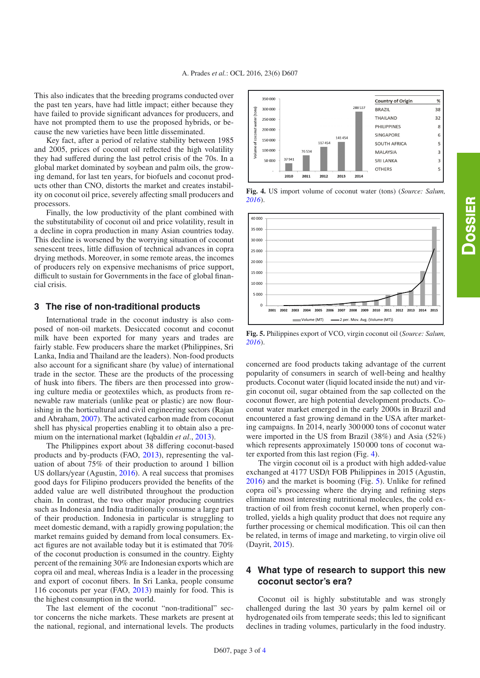This also indicates that the breeding programs conducted over the past ten years, have had little impact; either because they have failed to provide significant advances for producers, and have not prompted them to use the proposed hybrids, or because the new varieties have been little disseminated.

Key fact, after a period of relative stability between 1985 and 2005, prices of coconut oil reflected the high volatility they had suffered during the last petrol crisis of the 70s. In a global market dominated by soybean and palm oils, the growing demand, for last ten years, for biofuels and coconut products other than CNO, distorts the market and creates instability on coconut oil price, severely affecting small producers and processors.

Finally, the low productivity of the plant combined with the substitutability of coconut oil and price volatility, result in a decline in copra production in many Asian countries today. This decline is worsened by the worrying situation of coconut senescent trees, little diffusion of technical advances in copra drying methods. Moreover, in some remote areas, the incomes of producers rely on expensive mechanisms of price support, difficult to sustain for Governments in the face of global financial crisis.

### **3 The rise of non-traditional products**

International trade in the coconut industry is also composed of non-oil markets. Desiccated coconut and coconut milk have been exported for many years and trades are fairly stable. Few producers share the market (Philippines, Sri Lanka, India and Thailand are the leaders). Non-food products also account for a significant share (by value) of international trade in the sector. These are the products of the processing of husk into fibers. The fibers are then processed into growing culture media or geotextiles which, as products from renewable raw materials (unlike peat or plastic) are now flourishing in the horticultural and civil engineering sectors (Rajan and Abraham, [2007\)](#page-3-6). The activated carbon made from coconut shell has physical properties enabling it to obtain also a premium on the international market (Iqbaldin *et al*., [2013](#page-3-7)).

The Philippines export about 38 differing coconut-based products and by-products (FAO, [2013](#page-3-8)), representing the valuation of about 75% of their production to around 1 billion US dollars/year (Agustin, [2016\)](#page-3-9). A real success that promises good days for Filipino producers provided the benefits of the added value are well distributed throughout the production chain. In contrast, the two other major producing countries such as Indonesia and India traditionally consume a large part of their production. Indonesia in particular is struggling to meet domestic demand, with a rapidly growing population; the market remains guided by demand from local consumers. Exact figures are not available today but it is estimated that 70% of the coconut production is consumed in the country. Eighty percent of the remaining 30% are Indonesian exports which are copra oil and meal, whereas India is a leader in the processing and export of coconut fibers. In Sri Lanka, people consume 116 coconuts per year (FAO, [2013\)](#page-3-8) mainly for food. This is the highest consumption in the world.

The last element of the coconut "non-traditional" sector concerns the niche markets. These markets are present at the national, regional, and international levels. The products

<span id="page-2-0"></span>

**Fig. 4.** US import volume of coconut water (tons) (*Source: Salum, [2016](#page-3-10)*).

<span id="page-2-1"></span>

**Fig. 5.** Philippines export of VCO, virgin coconut oil (*Source: Salum, [2016](#page-3-10)*).

concerned are food products taking advantage of the current popularity of consumers in search of well-being and healthy products. Coconut water (liquid located inside the nut) and virgin coconut oil, sugar obtained from the sap collected on the coconut flower, are high potential development products. Coconut water market emerged in the early 2000s in Brazil and encountered a fast growing demand in the USA after marketing campaigns. In 2014, nearly 300 000 tons of coconut water were imported in the US from Brazil (38%) and Asia (52%) which represents approximately 150 000 tons of coconut water exported from this last region (Fig. [4\)](#page-2-0).

The virgin coconut oil is a product with high added-value exchanged at 4177 USD/t FOB Philippines in 2015 (Agustin, [2016\)](#page-3-9) and the market is booming (Fig. [5\)](#page-2-1). Unlike for refined copra oil's processing where the drying and refining steps eliminate most interesting nutritional molecules, the cold extraction of oil from fresh coconut kernel, when properly controlled, yields a high quality product that does not require any further processing or chemical modification. This oil can then be related, in terms of image and marketing, to virgin olive oil (Dayrit, [2015](#page-3-11)).

# **4 What type of research to support this new coconut sector's era?**

Coconut oil is highly substitutable and was strongly challenged during the last 30 years by palm kernel oil or hydrogenated oils from temperate seeds; this led to significant declines in trading volumes, particularly in the food industry.